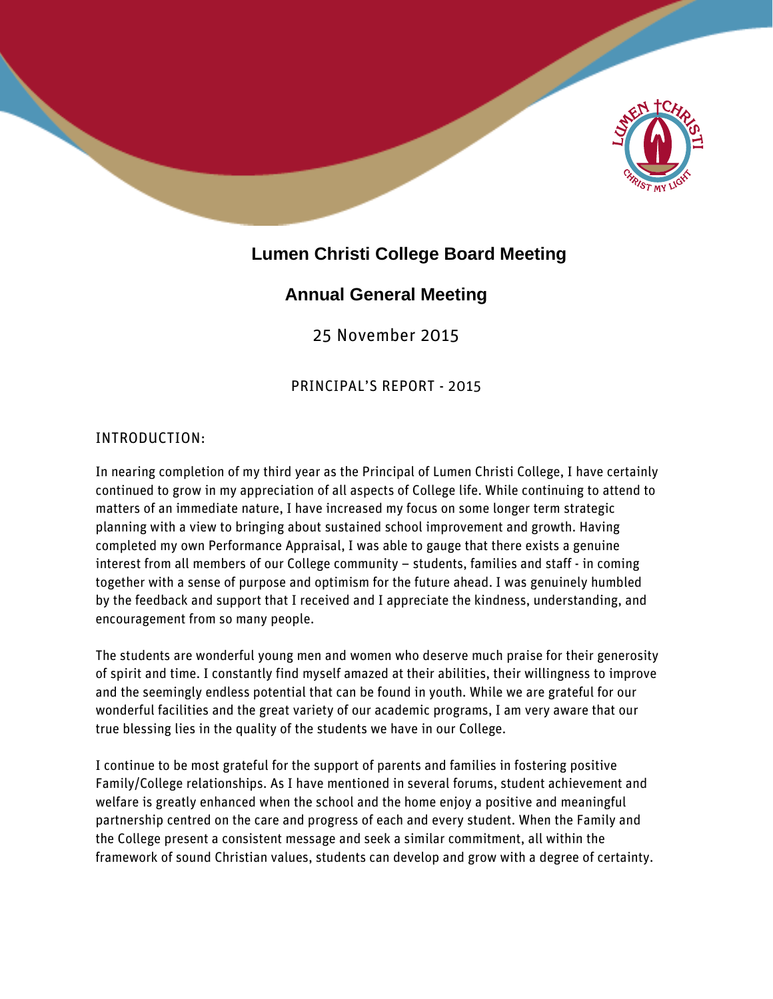

## **Lumen Christi College Board Meeting**

## **Annual General Meeting**

25 November 2015

PRINCIPAL'S REPORT - 2015

### INTRODUCTION:

In nearing completion of my third year as the Principal of Lumen Christi College, I have certainly continued to grow in my appreciation of all aspects of College life. While continuing to attend to matters of an immediate nature, I have increased my focus on some longer term strategic planning with a view to bringing about sustained school improvement and growth. Having completed my own Performance Appraisal, I was able to gauge that there exists a genuine interest from all members of our College community – students, families and staff - in coming together with a sense of purpose and optimism for the future ahead. I was genuinely humbled by the feedback and support that I received and I appreciate the kindness, understanding, and encouragement from so many people.

The students are wonderful young men and women who deserve much praise for their generosity of spirit and time. I constantly find myself amazed at their abilities, their willingness to improve and the seemingly endless potential that can be found in youth. While we are grateful for our wonderful facilities and the great variety of our academic programs, I am very aware that our true blessing lies in the quality of the students we have in our College.

I continue to be most grateful for the support of parents and families in fostering positive Family/College relationships. As I have mentioned in several forums, student achievement and welfare is greatly enhanced when the school and the home enjoy a positive and meaningful partnership centred on the care and progress of each and every student. When the Family and the College present a consistent message and seek a similar commitment, all within the framework of sound Christian values, students can develop and grow with a degree of certainty.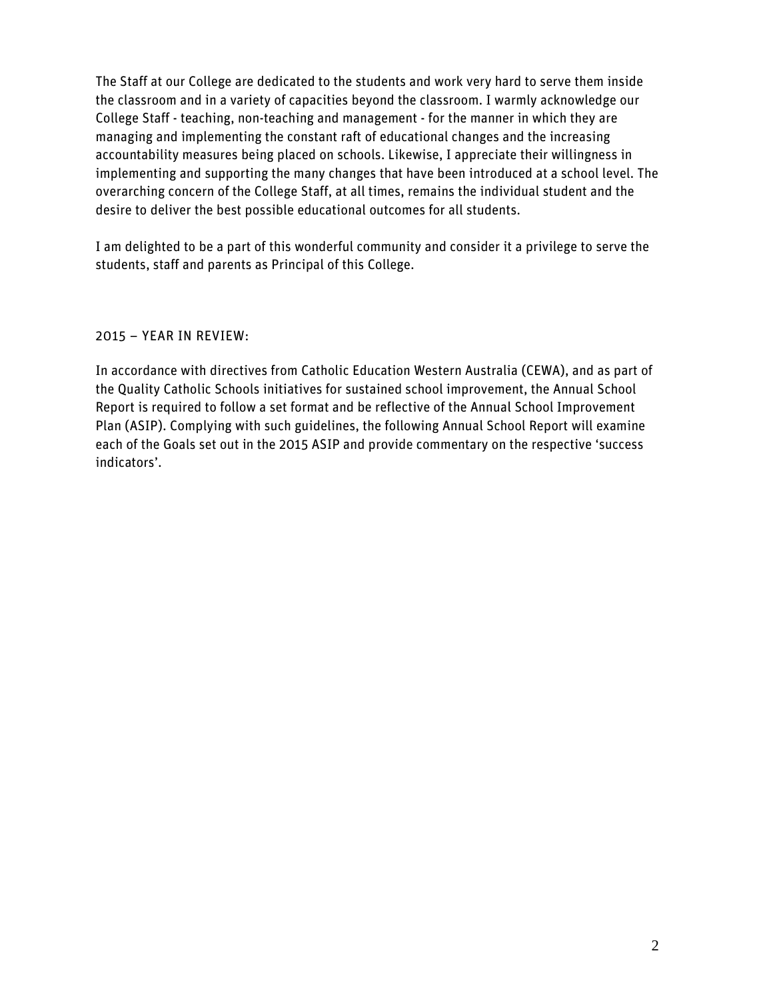The Staff at our College are dedicated to the students and work very hard to serve them inside the classroom and in a variety of capacities beyond the classroom. I warmly acknowledge our College Staff - teaching, non-teaching and management - for the manner in which they are managing and implementing the constant raft of educational changes and the increasing accountability measures being placed on schools. Likewise, I appreciate their willingness in implementing and supporting the many changes that have been introduced at a school level. The overarching concern of the College Staff, at all times, remains the individual student and the desire to deliver the best possible educational outcomes for all students.

I am delighted to be a part of this wonderful community and consider it a privilege to serve the students, staff and parents as Principal of this College.

### 2015 – YEAR IN REVIEW:

In accordance with directives from Catholic Education Western Australia (CEWA), and as part of the Quality Catholic Schools initiatives for sustained school improvement, the Annual School Report is required to follow a set format and be reflective of the Annual School Improvement Plan (ASIP). Complying with such guidelines, the following Annual School Report will examine each of the Goals set out in the 2015 ASIP and provide commentary on the respective 'success indicators'.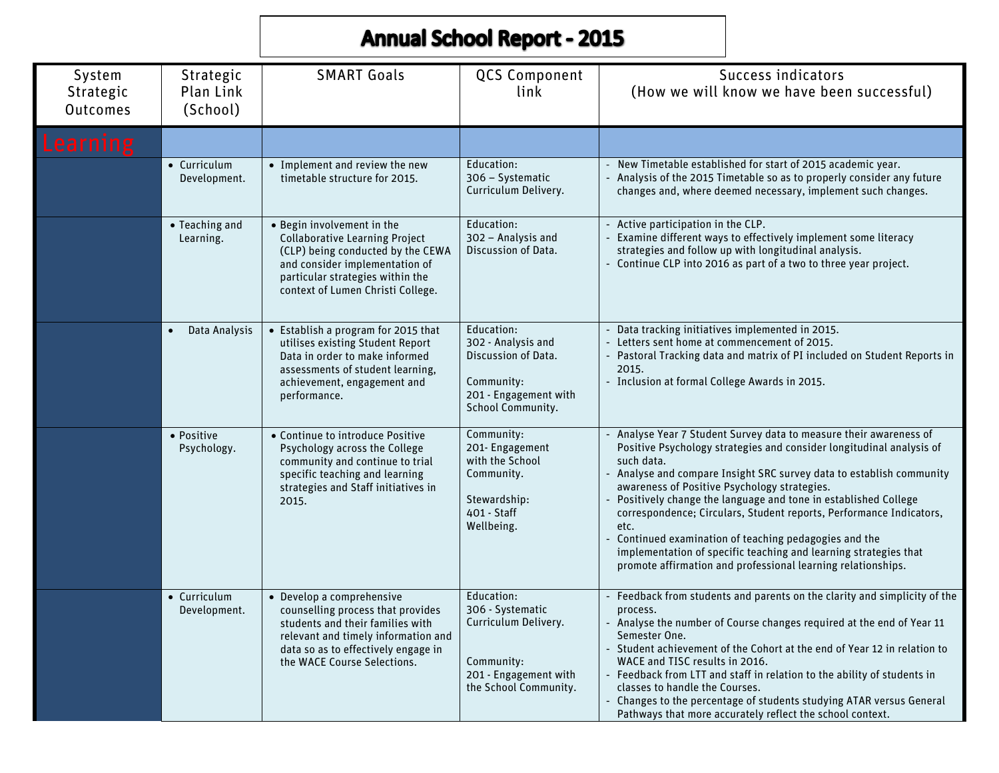# **Annual School Report - 2015**

| System<br>Strategic<br><b>Outcomes</b> | <b>Strategic</b><br>Plan Link<br>(School) | <b>SMART Goals</b>                                                                                                                                                                                                  | <b>QCS Component</b><br>link                                                                                           | Success indicators<br>(How we will know we have been successful)                                                                                                                                                                                                                                                                                                                                                                                                                                                                                                                                                            |
|----------------------------------------|-------------------------------------------|---------------------------------------------------------------------------------------------------------------------------------------------------------------------------------------------------------------------|------------------------------------------------------------------------------------------------------------------------|-----------------------------------------------------------------------------------------------------------------------------------------------------------------------------------------------------------------------------------------------------------------------------------------------------------------------------------------------------------------------------------------------------------------------------------------------------------------------------------------------------------------------------------------------------------------------------------------------------------------------------|
| <b>Learning</b>                        |                                           |                                                                                                                                                                                                                     |                                                                                                                        |                                                                                                                                                                                                                                                                                                                                                                                                                                                                                                                                                                                                                             |
|                                        | • Curriculum<br>Development.              | • Implement and review the new<br>timetable structure for 2015.                                                                                                                                                     | Education:<br>306 - Systematic<br>Curriculum Delivery.                                                                 | New Timetable established for start of 2015 academic year.<br>Analysis of the 2015 Timetable so as to properly consider any future<br>changes and, where deemed necessary, implement such changes.                                                                                                                                                                                                                                                                                                                                                                                                                          |
|                                        | • Teaching and<br>Learning.               | • Begin involvement in the<br><b>Collaborative Learning Project</b><br>(CLP) being conducted by the CEWA<br>and consider implementation of<br>particular strategies within the<br>context of Lumen Christi College. | Education:<br>302 - Analysis and<br>Discussion of Data.                                                                | - Active participation in the CLP.<br>Examine different ways to effectively implement some literacy<br>strategies and follow up with longitudinal analysis.<br>- Continue CLP into 2016 as part of a two to three year project.                                                                                                                                                                                                                                                                                                                                                                                             |
|                                        | Data Analysis<br>$\bullet$                | • Establish a program for 2015 that<br>utilises existing Student Report<br>Data in order to make informed<br>assessments of student learning,<br>achievement, engagement and<br>performance.                        | Education:<br>302 - Analysis and<br>Discussion of Data.<br>Community:<br>201 - Engagement with<br>School Community.    | Data tracking initiatives implemented in 2015.<br>- Letters sent home at commencement of 2015.<br>Pastoral Tracking data and matrix of PI included on Student Reports in<br>2015.<br>- Inclusion at formal College Awards in 2015.                                                                                                                                                                                                                                                                                                                                                                                          |
|                                        | • Positive<br>Psychology.                 | • Continue to introduce Positive<br>Psychology across the College<br>community and continue to trial<br>specific teaching and learning<br>strategies and Staff initiatives in<br>2015.                              | Community:<br>201- Engagement<br>with the School<br>Community.<br>Stewardship:<br>401 - Staff<br>Wellbeing.            | - Analyse Year 7 Student Survey data to measure their awareness of<br>Positive Psychology strategies and consider longitudinal analysis of<br>such data.<br>Analyse and compare Insight SRC survey data to establish community<br>awareness of Positive Psychology strategies.<br>Positively change the language and tone in established College<br>correspondence; Circulars, Student reports, Performance Indicators,<br>etc.<br>Continued examination of teaching pedagogies and the<br>implementation of specific teaching and learning strategies that<br>promote affirmation and professional learning relationships. |
|                                        | • Curriculum<br>Development.              | • Develop a comprehensive<br>counselling process that provides<br>students and their families with<br>relevant and timely information and<br>data so as to effectively engage in<br>the WACE Course Selections.     | Education:<br>306 - Systematic<br>Curriculum Delivery.<br>Community:<br>201 - Engagement with<br>the School Community. | Feedback from students and parents on the clarity and simplicity of the<br>process.<br>Analyse the number of Course changes required at the end of Year 11<br>Semester One.<br>Student achievement of the Cohort at the end of Year 12 in relation to<br>WACE and TISC results in 2016.<br>- Feedback from LTT and staff in relation to the ability of students in<br>classes to handle the Courses.<br>- Changes to the percentage of students studying ATAR versus General<br>Pathways that more accurately reflect the school context.                                                                                   |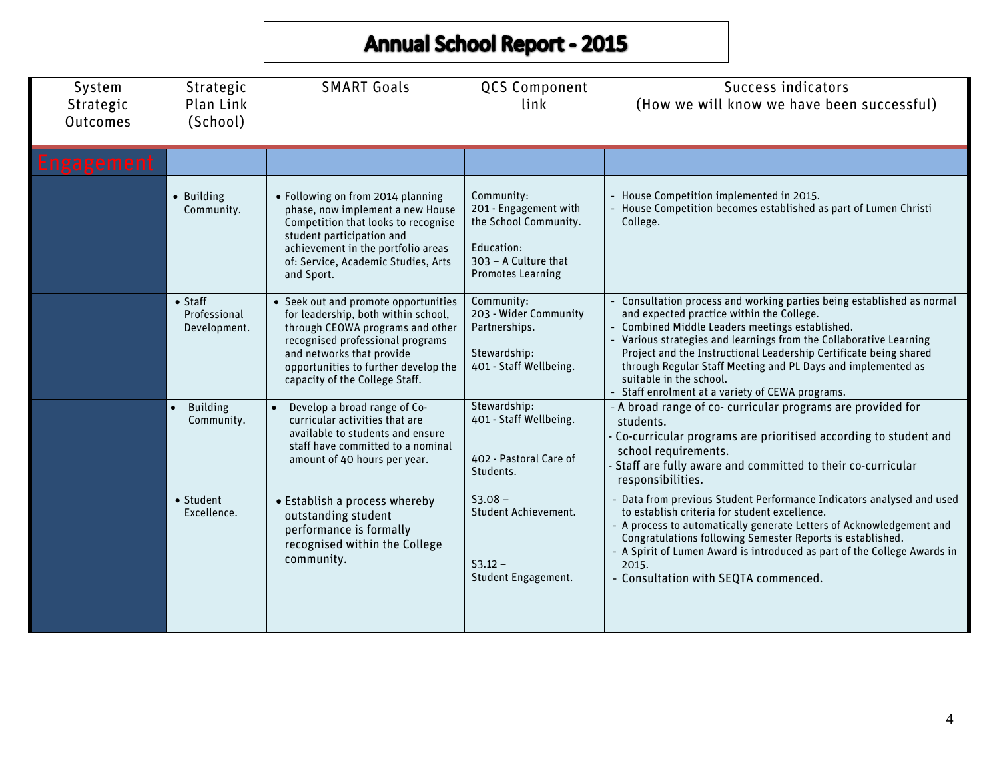# **Annual School Report - 2015**

| System<br>Strategic<br><b>Outcomes</b> | Strategic<br>Plan Link<br>(School)              | <b>SMART Goals</b>                                                                                                                                                                                                                                         | <b>QCS Component</b><br>link                                                                                                   | Success indicators<br>(How we will know we have been successful)                                                                                                                                                                                                                                                                                                                                                                                         |
|----------------------------------------|-------------------------------------------------|------------------------------------------------------------------------------------------------------------------------------------------------------------------------------------------------------------------------------------------------------------|--------------------------------------------------------------------------------------------------------------------------------|----------------------------------------------------------------------------------------------------------------------------------------------------------------------------------------------------------------------------------------------------------------------------------------------------------------------------------------------------------------------------------------------------------------------------------------------------------|
| Engagement                             |                                                 |                                                                                                                                                                                                                                                            |                                                                                                                                |                                                                                                                                                                                                                                                                                                                                                                                                                                                          |
|                                        | • Building<br>Community.                        | • Following on from 2014 planning<br>phase, now implement a new House<br>Competition that looks to recognise<br>student participation and<br>achievement in the portfolio areas<br>of: Service, Academic Studies, Arts<br>and Sport.                       | Community:<br>201 - Engagement with<br>the School Community.<br>Education:<br>303 - A Culture that<br><b>Promotes Learning</b> | House Competition implemented in 2015.<br>House Competition becomes established as part of Lumen Christi<br>College.                                                                                                                                                                                                                                                                                                                                     |
|                                        | $\bullet$ Staff<br>Professional<br>Development. | • Seek out and promote opportunities<br>for leadership, both within school,<br>through CEOWA programs and other<br>recognised professional programs<br>and networks that provide<br>opportunities to further develop the<br>capacity of the College Staff. | Community:<br>203 - Wider Community<br>Partnerships.<br>Stewardship:<br>401 - Staff Wellbeing.                                 | Consultation process and working parties being established as normal<br>and expected practice within the College.<br>Combined Middle Leaders meetings established.<br>Various strategies and learnings from the Collaborative Learning<br>Project and the Instructional Leadership Certificate being shared<br>through Regular Staff Meeting and PL Days and implemented as<br>suitable in the school.<br>Staff enrolment at a variety of CEWA programs. |
|                                        | <b>Building</b><br>$\bullet$<br>Community.      | Develop a broad range of Co-<br>curricular activities that are<br>available to students and ensure<br>staff have committed to a nominal<br>amount of 40 hours per year.                                                                                    | Stewardship:<br>401 - Staff Wellbeing.<br>402 - Pastoral Care of<br>Students.                                                  | A broad range of co- curricular programs are provided for<br>students.<br>Co-curricular programs are prioritised according to student and<br>school requirements.<br>Staff are fully aware and committed to their co-curricular<br>responsibilities.                                                                                                                                                                                                     |
|                                        | • Student<br>Excellence.                        | • Establish a process whereby<br>outstanding student<br>performance is formally<br>recognised within the College<br>community.                                                                                                                             | $53.08 -$<br>Student Achievement.<br>$53.12 -$<br>Student Engagement.                                                          | - Data from previous Student Performance Indicators analysed and used<br>to establish criteria for student excellence.<br>- A process to automatically generate Letters of Acknowledgement and<br>Congratulations following Semester Reports is established.<br>- A Spirit of Lumen Award is introduced as part of the College Awards in<br>2015.<br>- Consultation with SEQTA commenced.                                                                |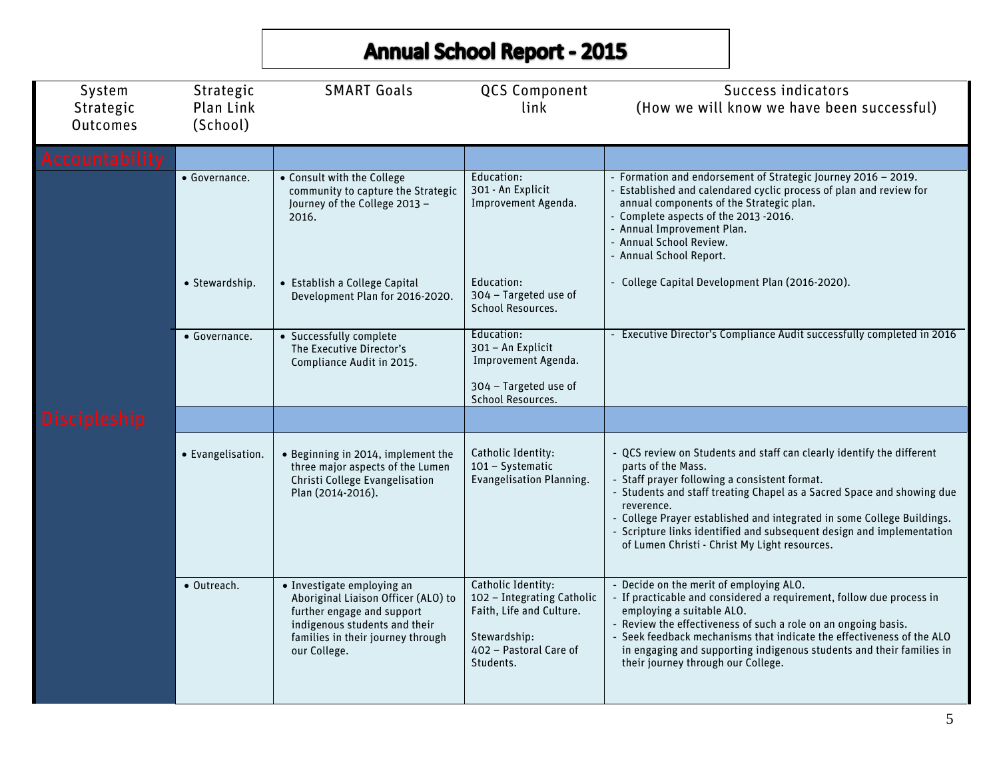# **Annual School Report - 2015**

| System<br>Strategic<br><b>Outcomes</b> | Strategic<br>Plan Link<br>(School) | <b>SMART Goals</b>                                                                                                                                                                    | QCS Component<br>link                                                                                                               | Success indicators<br>(How we will know we have been successful)                                                                                                                                                                                                                                                                                                                                                                         |
|----------------------------------------|------------------------------------|---------------------------------------------------------------------------------------------------------------------------------------------------------------------------------------|-------------------------------------------------------------------------------------------------------------------------------------|------------------------------------------------------------------------------------------------------------------------------------------------------------------------------------------------------------------------------------------------------------------------------------------------------------------------------------------------------------------------------------------------------------------------------------------|
| Accountability                         |                                    |                                                                                                                                                                                       |                                                                                                                                     |                                                                                                                                                                                                                                                                                                                                                                                                                                          |
|                                        | • Governance.                      | • Consult with the College<br>community to capture the Strategic<br>Journey of the College 2013 -<br>2016.                                                                            | Education:<br>301 - An Explicit<br>Improvement Agenda.                                                                              | Formation and endorsement of Strategic Journey 2016 - 2019.<br>Established and calendared cyclic process of plan and review for<br>annual components of the Strategic plan.<br>Complete aspects of the 2013 -2016.<br>- Annual Improvement Plan.<br>- Annual School Review.<br>- Annual School Report.                                                                                                                                   |
|                                        | • Stewardship.                     | • Establish a College Capital<br>Development Plan for 2016-2020.                                                                                                                      | Education:<br>304 - Targeted use of<br>School Resources.                                                                            | College Capital Development Plan (2016-2020).                                                                                                                                                                                                                                                                                                                                                                                            |
|                                        | · Governance.                      | · Successfully complete<br>The Executive Director's<br>Compliance Audit in 2015.                                                                                                      | Education:<br>301 - An Explicit<br>Improvement Agenda.                                                                              | Executive Director's Compliance Audit successfully completed in 2016                                                                                                                                                                                                                                                                                                                                                                     |
|                                        |                                    |                                                                                                                                                                                       | 304 - Targeted use of<br>School Resources.                                                                                          |                                                                                                                                                                                                                                                                                                                                                                                                                                          |
| <b>Discipleship</b>                    |                                    |                                                                                                                                                                                       |                                                                                                                                     |                                                                                                                                                                                                                                                                                                                                                                                                                                          |
|                                        | • Evangelisation.                  | • Beginning in 2014, implement the<br>three major aspects of the Lumen<br>Christi College Evangelisation<br>Plan (2014-2016).                                                         | Catholic Identity:<br>101 - Systematic<br>Evangelisation Planning.                                                                  | - QCS review on Students and staff can clearly identify the different<br>parts of the Mass.<br>- Staff prayer following a consistent format.<br>- Students and staff treating Chapel as a Sacred Space and showing due<br>reverence.<br>- College Prayer established and integrated in some College Buildings.<br>- Scripture links identified and subsequent design and implementation<br>of Lumen Christi - Christ My Light resources. |
|                                        | $\bullet$ Outreach.                | • Investigate employing an<br>Aboriginal Liaison Officer (ALO) to<br>further engage and support<br>indigenous students and their<br>families in their journey through<br>our College. | Catholic Identity:<br>102 - Integrating Catholic<br>Faith, Life and Culture.<br>Stewardship:<br>402 - Pastoral Care of<br>Students. | - Decide on the merit of employing ALO.<br>- If practicable and considered a requirement, follow due process in<br>employing a suitable ALO.<br>- Review the effectiveness of such a role on an ongoing basis.<br>- Seek feedback mechanisms that indicate the effectiveness of the ALO<br>in engaging and supporting indigenous students and their families in<br>their journey through our College.                                    |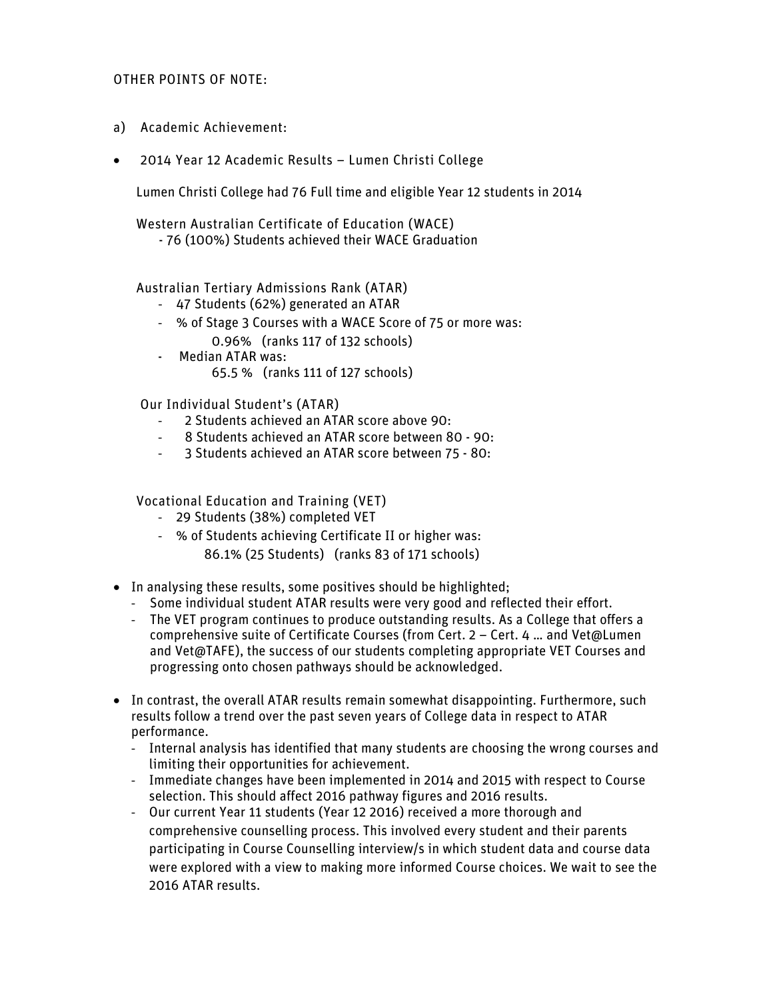#### OTHER POINTS OF NOTE:

- a) Academic Achievement:
- 2014 Year 12 Academic Results Lumen Christi College

Lumen Christi College had 76 Full time and eligible Year 12 students in 2014

Western Australian Certificate of Education (WACE) - 76 (100%) Students achieved their WACE Graduation

Australian Tertiary Admissions Rank (ATAR)

- 47 Students (62%) generated an ATAR
- % of Stage 3 Courses with a WACE Score of 75 or more was: 0.96% (ranks 117 of 132 schools)
- Median ATAR was: 65.5 % (ranks 111 of 127 schools)

Our Individual Student's (ATAR)

- 2 Students achieved an ATAR score above 90:
- 8 Students achieved an ATAR score between 80 90:
- 3 Students achieved an ATAR score between 75 80:

Vocational Education and Training (VET)

- 29 Students (38%) completed VET
- % of Students achieving Certificate II or higher was: 86.1% (25 Students) (ranks 83 of 171 schools)
- In analysing these results, some positives should be highlighted;
	- Some individual student ATAR results were very good and reflected their effort.
	- The VET program continues to produce outstanding results. As a College that offers a comprehensive suite of Certificate Courses (from Cert. 2 – Cert. 4 … and Vet@Lumen and Vet@TAFE), the success of our students completing appropriate VET Courses and progressing onto chosen pathways should be acknowledged.
- In contrast, the overall ATAR results remain somewhat disappointing. Furthermore, such results follow a trend over the past seven years of College data in respect to ATAR performance.
	- Internal analysis has identified that many students are choosing the wrong courses and limiting their opportunities for achievement.
	- Immediate changes have been implemented in 2014 and 2015 with respect to Course selection. This should affect 2016 pathway figures and 2016 results.
	- Our current Year 11 students (Year 12 2016) received a more thorough and comprehensive counselling process. This involved every student and their parents participating in Course Counselling interview/s in which student data and course data were explored with a view to making more informed Course choices. We wait to see the 2016 ATAR results.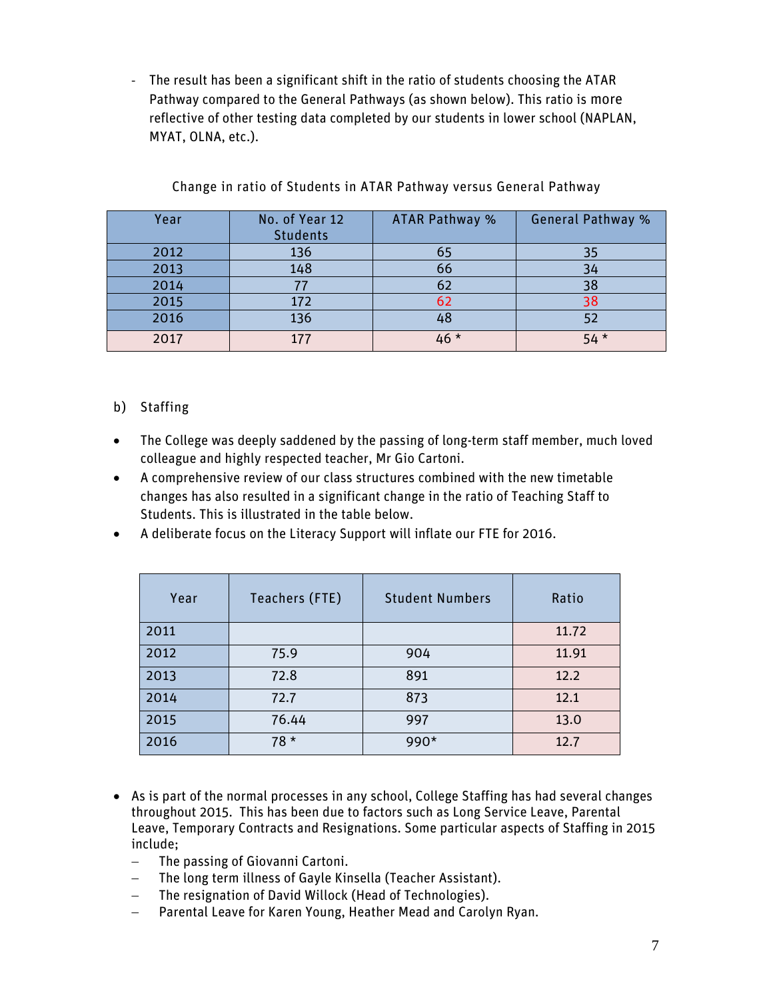- The result has been a significant shift in the ratio of students choosing the ATAR Pathway compared to the General Pathways (as shown below). This ratio is more reflective of other testing data completed by our students in lower school (NAPLAN, MYAT, OLNA, etc.).

| Year | No. of Year 12<br><b>Students</b> | ATAR Pathway % | <b>General Pathway %</b> |
|------|-----------------------------------|----------------|--------------------------|
| 2012 | 136                               | 65             | 35                       |
| 2013 | 148                               | 66             | 34                       |
| 2014 |                                   | 62             | 38                       |
| 2015 | 172                               | 62             | 38                       |
| 2016 | 136                               | 48             | 52                       |
| 2017 | 177                               | $46*$          | $54*$                    |

Change in ratio of Students in ATAR Pathway versus General Pathway

- b) Staffing
- The College was deeply saddened by the passing of long-term staff member, much loved colleague and highly respected teacher, Mr Gio Cartoni.
- A comprehensive review of our class structures combined with the new timetable changes has also resulted in a significant change in the ratio of Teaching Staff to Students. This is illustrated in the table below.
- A deliberate focus on the Literacy Support will inflate our FTE for 2016.

| Year | Teachers (FTE) | <b>Student Numbers</b> | Ratio |  |
|------|----------------|------------------------|-------|--|
| 2011 |                |                        | 11.72 |  |
| 2012 | 75.9           | 904                    | 11.91 |  |
| 2013 | 72.8           | 891                    | 12.2  |  |
| 2014 | 72.7           | 873                    | 12.1  |  |
| 2015 | 76.44          | 997                    | 13.0  |  |
| 2016 | $78*$          | 990*                   | 12.7  |  |

- As is part of the normal processes in any school, College Staffing has had several changes throughout 2015. This has been due to factors such as Long Service Leave, Parental Leave, Temporary Contracts and Resignations. Some particular aspects of Staffing in 2015 include;
	- − The passing of Giovanni Cartoni.
	- The long term illness of Gayle Kinsella (Teacher Assistant).
	- − The resignation of David Willock (Head of Technologies).
	- − Parental Leave for Karen Young, Heather Mead and Carolyn Ryan.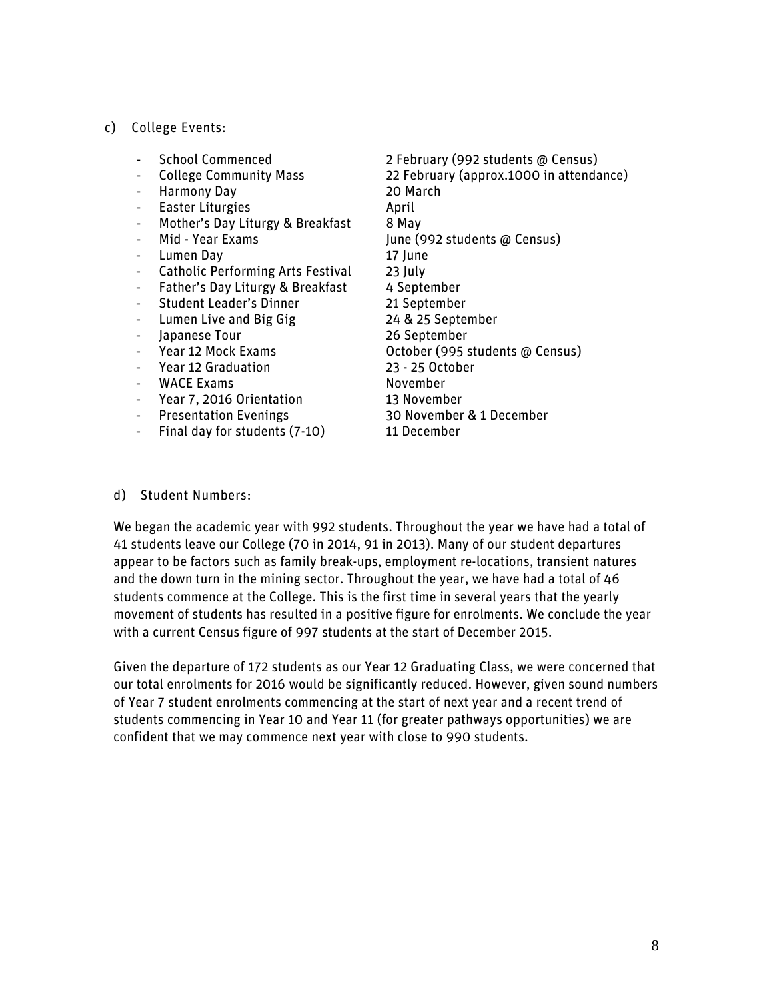#### c) College Events:

- 
- 
- Harmony Day 20 March
- Easter Liturgies **April**
- Mother's Day Liturgy & Breakfast 8 May
- 
- Lumen Day 17 June
- Catholic Performing Arts Festival 23 July
- Father's Day Liturgy & Breakfast 4 September
- Student Leader's Dinner 21 September
- Lumen Live and Big Gig 24 & 25 September
- Japanese Tour 26 September
- 
- 
- WACE Exams
- Year 7, 2016 Orientation 13 November
- 
- Final day for students (7-10) 11 December

School Commenced<br>
2 February (992 students @ Census)<br>
22 February (approx.1000 in attenda 22 February (approx.1000 in attendance) Mid - Year Exams June (992 students @ Census) Year 12 Mock Exams Corober (995 students @ Census) - Year 12 Graduation 23 - 25 October<br>- WACE Exams 20 23 - 25 October - Presentation Evenings 30 November & 1 December

#### d) Student Numbers:

We began the academic year with 992 students. Throughout the year we have had a total of 41 students leave our College (70 in 2014, 91 in 2013). Many of our student departures appear to be factors such as family break-ups, employment re-locations, transient natures and the down turn in the mining sector. Throughout the year, we have had a total of 46 students commence at the College. This is the first time in several years that the yearly movement of students has resulted in a positive figure for enrolments. We conclude the year with a current Census figure of 997 students at the start of December 2015.

Given the departure of 172 students as our Year 12 Graduating Class, we were concerned that our total enrolments for 2016 would be significantly reduced. However, given sound numbers of Year 7 student enrolments commencing at the start of next year and a recent trend of students commencing in Year 10 and Year 11 (for greater pathways opportunities) we are confident that we may commence next year with close to 990 students.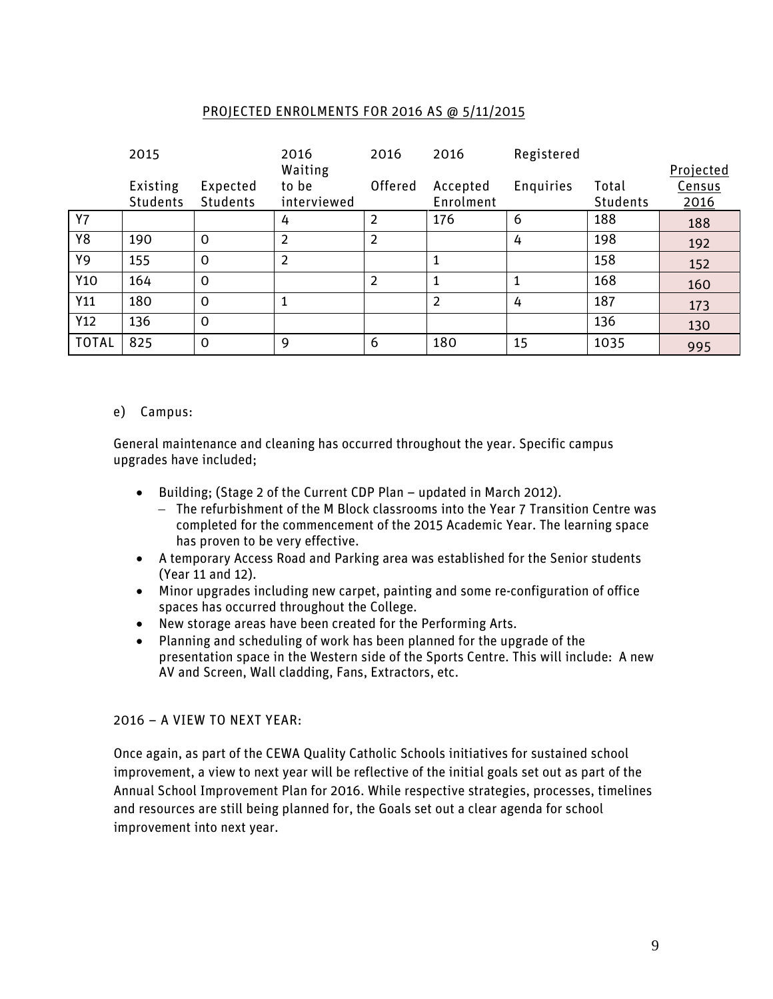### PROJECTED ENROLMENTS FOR 2016 AS @ 5/11/2015

|                 | 2015                        |                             | 2016                            | 2016           | 2016                  | Registered |                   |                             |
|-----------------|-----------------------------|-----------------------------|---------------------------------|----------------|-----------------------|------------|-------------------|-----------------------------|
|                 | Existing<br><b>Students</b> | Expected<br><b>Students</b> | Waiting<br>to be<br>interviewed | Offered        | Accepted<br>Enrolment | Enquiries  | Total<br>Students | Projected<br>Census<br>2016 |
| <b>Y7</b>       |                             |                             | 4                               | 2              | 176                   | 6          | 188               | 188                         |
| Y8              | 190                         | $\Omega$                    | $\overline{2}$                  | $\overline{2}$ |                       | 4          | 198               | 192                         |
| <b>Y9</b>       | 155                         | $\mathbf 0$                 | $\overline{2}$                  |                |                       |            | 158               | 152                         |
| Y <sub>10</sub> | 164                         | $\Omega$                    |                                 | $\overline{2}$ |                       | 1          | 168               | 160                         |
| Y11             | 180                         | $\Omega$                    | $\mathbf{1}$                    |                | $\overline{2}$        | 4          | 187               | 173                         |
| Y <sub>12</sub> | 136                         | $\Omega$                    |                                 |                |                       |            | 136               | 130                         |
| <b>TOTAL</b>    | 825                         | $\mathbf 0$                 | 9                               | 6              | 180                   | 15         | 1035              | 995                         |

#### e) Campus:

General maintenance and cleaning has occurred throughout the year. Specific campus upgrades have included;

- Building; (Stage 2 of the Current CDP Plan updated in March 2012).
	- − The refurbishment of the M Block classrooms into the Year 7 Transition Centre was completed for the commencement of the 2015 Academic Year. The learning space has proven to be very effective.
- A temporary Access Road and Parking area was established for the Senior students (Year 11 and 12).
- Minor upgrades including new carpet, painting and some re-configuration of office spaces has occurred throughout the College.
- New storage areas have been created for the Performing Arts.
- Planning and scheduling of work has been planned for the upgrade of the presentation space in the Western side of the Sports Centre. This will include: A new AV and Screen, Wall cladding, Fans, Extractors, etc.

#### 2016 – A VIEW TO NEXT YEAR:

Once again, as part of the CEWA Quality Catholic Schools initiatives for sustained school improvement, a view to next year will be reflective of the initial goals set out as part of the Annual School Improvement Plan for 2016. While respective strategies, processes, timelines and resources are still being planned for, the Goals set out a clear agenda for school improvement into next year.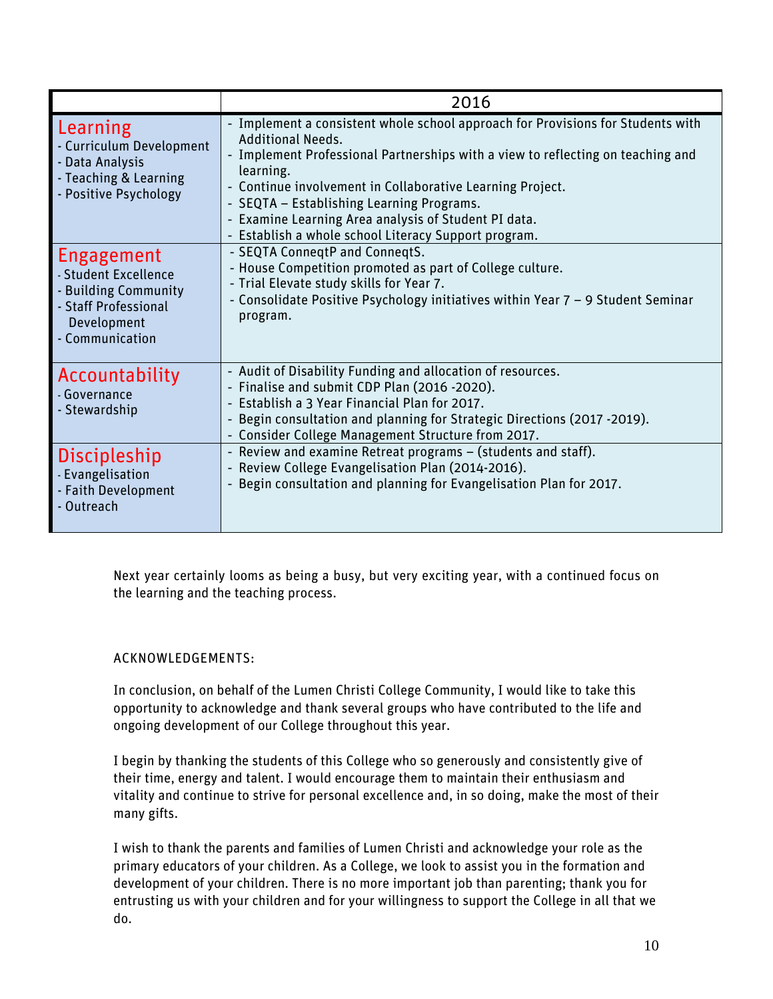|                                                                                                                      | 2016                                                                                                                                                                                                                                                                                                                                                                                                                                  |
|----------------------------------------------------------------------------------------------------------------------|---------------------------------------------------------------------------------------------------------------------------------------------------------------------------------------------------------------------------------------------------------------------------------------------------------------------------------------------------------------------------------------------------------------------------------------|
| Learning<br>- Curriculum Development<br>- Data Analysis<br>- Teaching & Learning<br>- Positive Psychology            | - Implement a consistent whole school approach for Provisions for Students with<br><b>Additional Needs.</b><br>- Implement Professional Partnerships with a view to reflecting on teaching and<br>learning.<br>- Continue involvement in Collaborative Learning Project.<br>- SEQTA - Establishing Learning Programs.<br>- Examine Learning Area analysis of Student PI data.<br>- Establish a whole school Literacy Support program. |
| Engagement<br>- Student Excellence<br>- Building Community<br>- Staff Professional<br>Development<br>- Communication | - SEQTA ConneqtP and ConneqtS.<br>- House Competition promoted as part of College culture.<br>- Trial Elevate study skills for Year 7.<br>- Consolidate Positive Psychology initiatives within Year 7 - 9 Student Seminar<br>program.                                                                                                                                                                                                 |
| <b>Accountability</b><br>- Governance<br>- Stewardship                                                               | - Audit of Disability Funding and allocation of resources.<br>- Finalise and submit CDP Plan (2016 -2020).<br>- Establish a 3 Year Financial Plan for 2017.<br>- Begin consultation and planning for Strategic Directions (2017 -2019).<br>- Consider College Management Structure from 2017.                                                                                                                                         |
| <b>Discipleship</b><br>- Evangelisation<br>- Faith Development<br>- Outreach                                         | - Review and examine Retreat programs - (students and staff).<br>- Review College Evangelisation Plan (2014-2016).<br>- Begin consultation and planning for Evangelisation Plan for 2017.                                                                                                                                                                                                                                             |

Next year certainly looms as being a busy, but very exciting year, with a continued focus on the learning and the teaching process.

#### ACKNOWLEDGEMENTS:

In conclusion, on behalf of the Lumen Christi College Community, I would like to take this opportunity to acknowledge and thank several groups who have contributed to the life and ongoing development of our College throughout this year.

I begin by thanking the students of this College who so generously and consistently give of their time, energy and talent. I would encourage them to maintain their enthusiasm and vitality and continue to strive for personal excellence and, in so doing, make the most of their many gifts.

I wish to thank the parents and families of Lumen Christi and acknowledge your role as the primary educators of your children. As a College, we look to assist you in the formation and development of your children. There is no more important job than parenting; thank you for entrusting us with your children and for your willingness to support the College in all that we do.